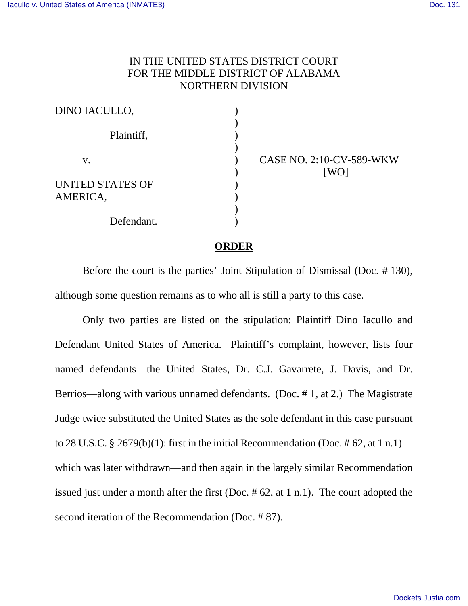## IN THE UNITED STATES DISTRICT COURT FOR THE MIDDLE DISTRICT OF ALABAMA NORTHERN DIVISION

| DINO IACULLO,                       |  |
|-------------------------------------|--|
| Plaintiff,                          |  |
| V.                                  |  |
| <b>UNITED STATES OF</b><br>AMERICA, |  |
| Defendant.                          |  |

CASE NO. 2:10-CV-589-WKW [WO]

## **ORDER**

Before the court is the parties' Joint Stipulation of Dismissal (Doc. # 130), although some question remains as to who all is still a party to this case.

Only two parties are listed on the stipulation: Plaintiff Dino Iacullo and Defendant United States of America. Plaintiff's complaint, however, lists four named defendants—the United States, Dr. C.J. Gavarrete, J. Davis, and Dr. Berrios—along with various unnamed defendants. (Doc. # 1, at 2.) The Magistrate Judge twice substituted the United States as the sole defendant in this case pursuant to 28 U.S.C. § 2679(b)(1): first in the initial Recommendation (Doc. #62, at 1 n.1) which was later withdrawn—and then again in the largely similar Recommendation issued just under a month after the first (Doc. # 62, at 1 n.1). The court adopted the second iteration of the Recommendation (Doc. # 87).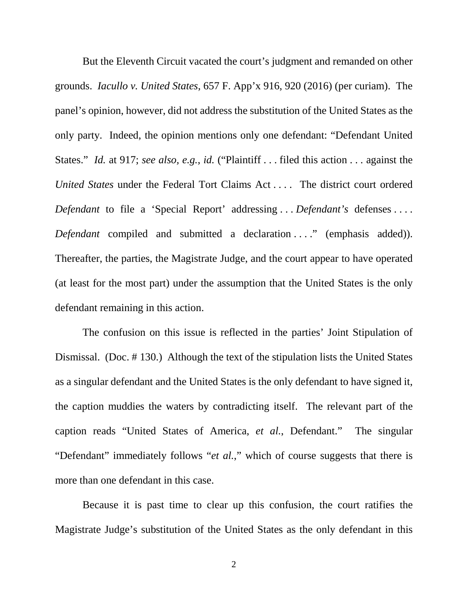But the Eleventh Circuit vacated the court's judgment and remanded on other grounds. *Iacullo v. United States*, 657 F. App'x 916, 920 (2016) (per curiam). The panel's opinion, however, did not address the substitution of the United States as the only party. Indeed, the opinion mentions only one defendant: "Defendant United States." *Id.* at 917; *see also, e.g.*, *id.* ("Plaintiff . . . filed this action . . . against the *United States* under the Federal Tort Claims Act . . . . The district court ordered *Defendant* to file a 'Special Report' addressing . . . *Defendant's* defenses . . . . *Defendant* compiled and submitted a declaration . . . " (emphasis added)). Thereafter, the parties, the Magistrate Judge, and the court appear to have operated (at least for the most part) under the assumption that the United States is the only defendant remaining in this action.

The confusion on this issue is reflected in the parties' Joint Stipulation of Dismissal. (Doc. # 130.) Although the text of the stipulation lists the United States as a singular defendant and the United States is the only defendant to have signed it, the caption muddies the waters by contradicting itself. The relevant part of the caption reads "United States of America, *et al.*, Defendant." The singular "Defendant" immediately follows "*et al.*," which of course suggests that there is more than one defendant in this case.

Because it is past time to clear up this confusion, the court ratifies the Magistrate Judge's substitution of the United States as the only defendant in this